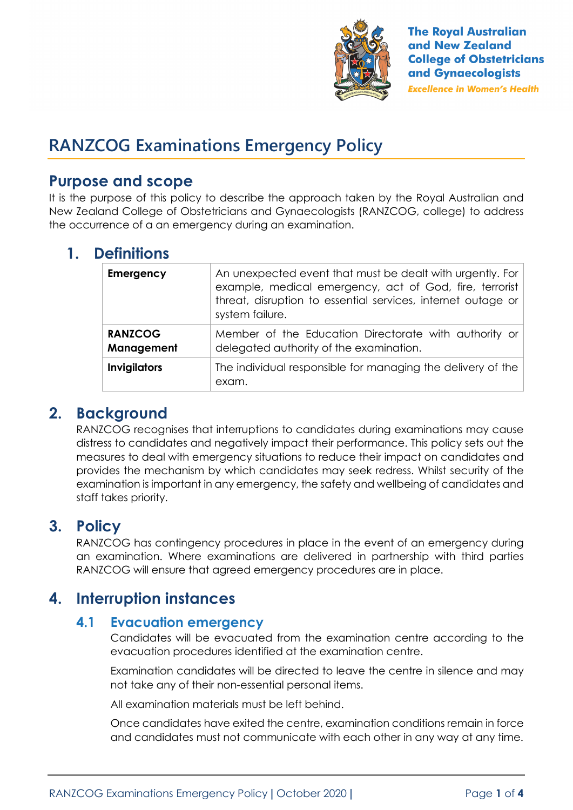

# **RANZCOG Examinations Emergency Policy**

## **Purpose and scope**

It is the purpose of this policy to describe the approach taken by the Royal Australian and New Zealand College of Obstetricians and Gynaecologists (RANZCOG, college) to address the occurrence of a an emergency during an examination.

## **1. Definitions**

| <b>Emergency</b>             | An unexpected event that must be dealt with urgently. For<br>example, medical emergency, act of God, fire, terrorist<br>threat, disruption to essential services, internet outage or<br>system failure. |
|------------------------------|---------------------------------------------------------------------------------------------------------------------------------------------------------------------------------------------------------|
| <b>RANZCOG</b><br>Management | Member of the Education Directorate with authority or<br>delegated authority of the examination.                                                                                                        |
| <b>Invigilators</b>          | The individual responsible for managing the delivery of the<br>exam.                                                                                                                                    |

## **2. Background**

RANZCOG recognises that interruptions to candidates during examinations may cause distress to candidates and negatively impact their performance. This policy sets out the measures to deal with emergency situations to reduce their impact on candidates and provides the mechanism by which candidates may seek redress. Whilst security of the examination is important in any emergency, the safety and wellbeing of candidates and staff takes priority.

# **3. Policy**

RANZCOG has contingency procedures in place in the event of an emergency during an examination. Where examinations are delivered in partnership with third parties RANZCOG will ensure that agreed emergency procedures are in place.

# **4. Interruption instances**

### **4.1 Evacuation emergency**

Candidates will be evacuated from the examination centre according to the evacuation procedures identified at the examination centre.

Examination candidates will be directed to leave the centre in silence and may not take any of their non-essential personal items.

All examination materials must be left behind.

Once candidates have exited the centre, examination conditions remain in force and candidates must not communicate with each other in any way at any time.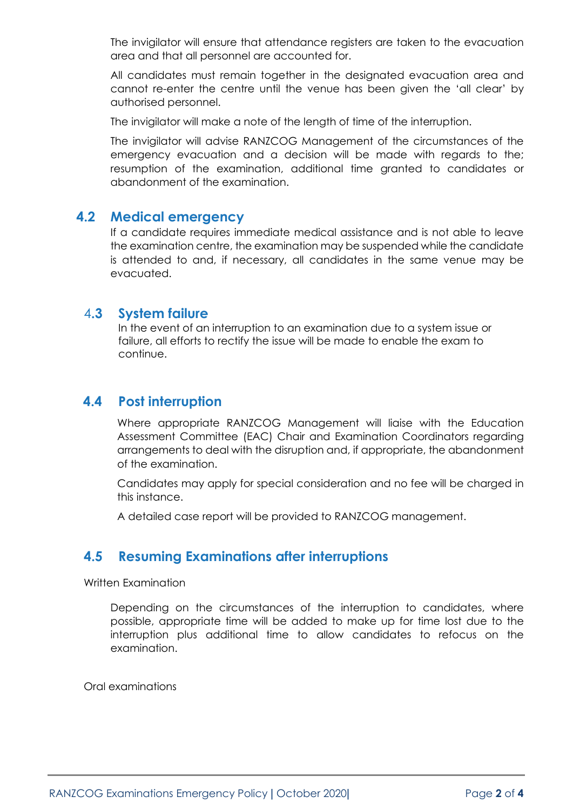The invigilator will ensure that attendance registers are taken to the evacuation area and that all personnel are accounted for.

All candidates must remain together in the designated evacuation area and cannot re-enter the centre until the venue has been given the 'all clear' by authorised personnel.

The invigilator will make a note of the length of time of the interruption.

The invigilator will advise RANZCOG Management of the circumstances of the emergency evacuation and a decision will be made with regards to the; resumption of the examination, additional time granted to candidates or abandonment of the examination.

#### **4.2 Medical emergency**

If a candidate requires immediate medical assistance and is not able to leave the examination centre, the examination may be suspended while the candidate is attended to and, if necessary, all candidates in the same venue may be evacuated.

#### 4**.3 System failure**

In the event of an interruption to an examination due to a system issue or failure, all efforts to rectify the issue will be made to enable the exam to continue.

#### **4.4 Post interruption**

Where appropriate RANZCOG Management will liaise with the Education Assessment Committee (EAC) Chair and Examination Coordinators regarding arrangements to deal with the disruption and, if appropriate, the abandonment of the examination.

Candidates may apply for special consideration and no fee will be charged in this instance.

A detailed case report will be provided to RANZCOG management.

### **4.5 Resuming Examinations after interruptions**

Written Examination

Depending on the circumstances of the interruption to candidates, where possible, appropriate time will be added to make up for time lost due to the interruption plus additional time to allow candidates to refocus on the examination.

Oral examinations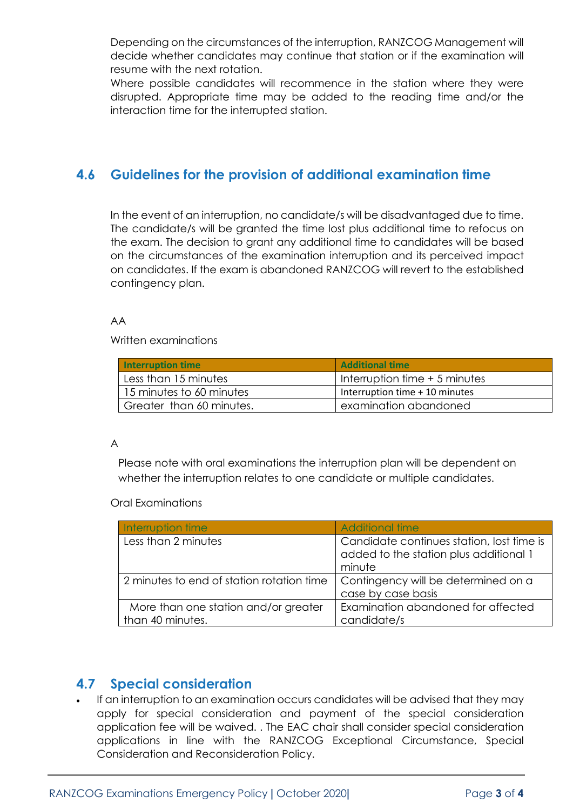Depending on the circumstances of the interruption, RANZCOG Management will decide whether candidates may continue that station or if the examination will resume with the next rotation.

Where possible candidates will recommence in the station where they were disrupted. Appropriate time may be added to the reading time and/or the interaction time for the interrupted station.

#### **4.6 Guidelines for the provision of additional examination time**

In the event of an interruption, no candidate/s will be disadvantaged due to time. The candidate/s will be granted the time lost plus additional time to refocus on the exam. The decision to grant any additional time to candidates will be based on the circumstances of the examination interruption and its perceived impact on candidates. If the exam is abandoned RANZCOG will revert to the established contingency plan.

#### AA

Written examinations

| <b>Interruption time</b> | <b>Additional time</b>         |
|--------------------------|--------------------------------|
| Less than 15 minutes     | Interruption time + 5 minutes  |
| 15 minutes to 60 minutes | Interruption time + 10 minutes |
| Greater than 60 minutes. | examination abandoned          |

#### A

Please note with oral examinations the interruption plan will be dependent on whether the interruption relates to one candidate or multiple candidates.

#### Oral Examinations

| Interruption time                                        | <b>Additional time</b>                                                                        |
|----------------------------------------------------------|-----------------------------------------------------------------------------------------------|
| Less than 2 minutes                                      | Candidate continues station, lost time is<br>added to the station plus additional 1<br>minute |
| 2 minutes to end of station rotation time                | Contingency will be determined on a<br>case by case basis                                     |
| More than one station and/or greater<br>than 40 minutes. | Examination abandoned for affected<br>candidate/s                                             |

### **4.7 Special consideration**

If an interruption to an examination occurs candidates will be advised that they may apply for special consideration and payment of the special consideration application fee will be waived. . The EAC chair shall consider special consideration applications in line with the RANZCOG Exceptional Circumstance, Special Consideration and Reconsideration Policy.